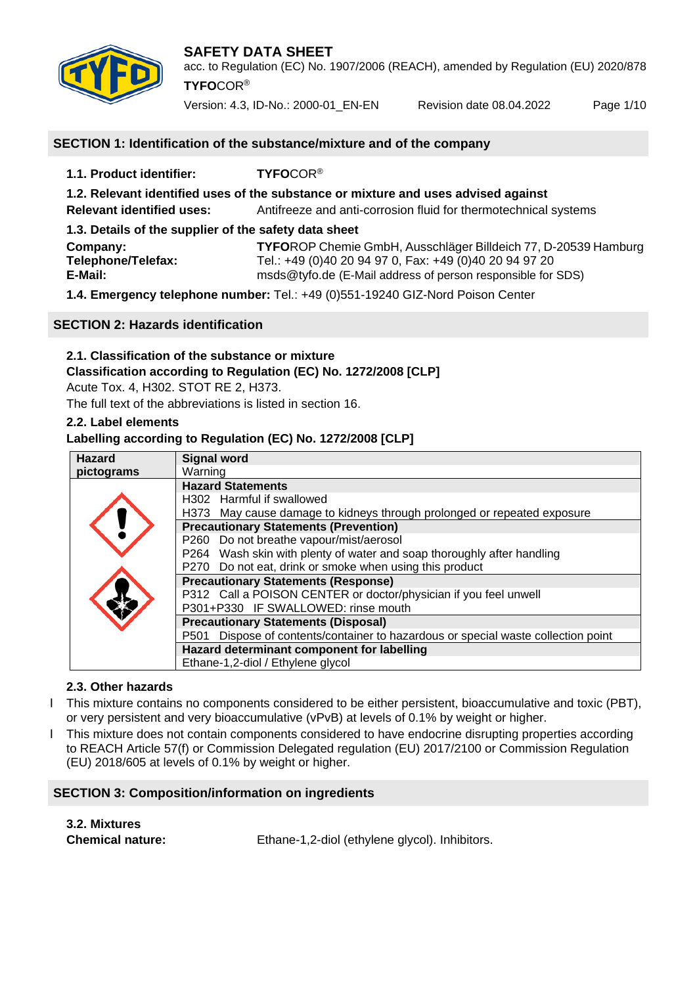



acc. to Regulation (EC) No. 1907/2006 (REACH), amended by Regulation (EU) 2020/878 **TYFO**COR®

Version: 4.3, ID-No.: 2000-01\_EN-EN Revision date 08.04.2022 Page 1/10

## **SECTION 1: Identification of the substance/mixture and of the company**

**1.1. Product identifier: TYFO**COR® **1.2. Relevant identified uses of the substance or mixture and uses advised against Relevant identified uses:** Antifreeze and anti-corrosion fluid for thermotechnical systems **1.3. Details of the supplier of the safety data sheet Company: TYFO**ROP Chemie GmbH, Ausschläger Billdeich 77, D-20539 Hamburg **Telephone/Telefax:** Tel.: +49 (0)40 20 94 97 0, Fax: +49 (0)40 20 94 97 20<br>**E-Mail:** msds@tvfo.de (E-Mail address of person responsible for **E-Mail:** msds@tyfo.de (E-Mail address of person responsible for SDS) **1.4. Emergency telephone number:** Tel.: +49 (0)551-19240 GIZ-Nord Poison Center

#### **SECTION 2: Hazards identification**

## **2.1. Classification of the substance or mixture**

## **Classification according to Regulation (EC) No. 1272/2008 [CLP]**

Acute Tox. 4, H302. STOT RE 2, H373.

The full text of the abbreviations is listed in section 16.

## **2.2. Label elements**

## **Labelling according to Regulation (EC) No. 1272/2008 [CLP]**

| <b>Hazard</b> | <b>Signal word</b>                                                                |
|---------------|-----------------------------------------------------------------------------------|
| pictograms    | Warning                                                                           |
|               | <b>Hazard Statements</b>                                                          |
|               | H302 Harmful if swallowed                                                         |
|               | H373 May cause damage to kidneys through prolonged or repeated exposure           |
|               | <b>Precautionary Statements (Prevention)</b>                                      |
|               | P260 Do not breathe vapour/mist/aerosol                                           |
|               | P264 Wash skin with plenty of water and soap thoroughly after handling            |
|               | P270 Do not eat, drink or smoke when using this product                           |
|               | <b>Precautionary Statements (Response)</b>                                        |
|               | P312 Call a POISON CENTER or doctor/physician if you feel unwell                  |
|               | P301+P330 IF SWALLOWED: rinse mouth                                               |
|               | <b>Precautionary Statements (Disposal)</b>                                        |
|               | P501 Dispose of contents/container to hazardous or special waste collection point |
|               | Hazard determinant component for labelling                                        |
|               | Ethane-1,2-diol / Ethylene glycol                                                 |

## **2.3. Other hazards**

- I This mixture contains no components considered to be either persistent, bioaccumulative and toxic (PBT), or very persistent and very bioaccumulative (vPvB) at levels of 0.1% by weight or higher.
- I This mixture does not contain components considered to have endocrine disrupting properties according to REACH Article 57(f) or Commission Delegated regulation (EU) 2017/2100 or Commission Regulation (EU) 2018/605 at levels of 0.1% by weight or higher.

## **SECTION 3: Composition/information on ingredients**

**3.2. Mixtures**

**Chemical nature:** Ethane-1,2-diol (ethylene glycol). Inhibitors.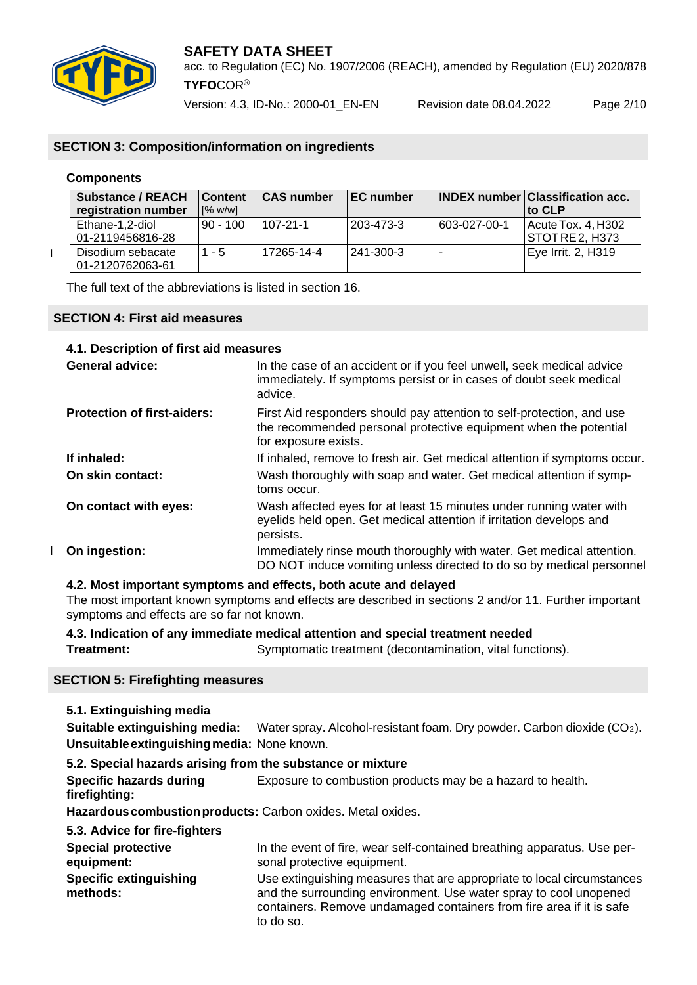

acc. to Regulation (EC) No. 1907/2006 (REACH), amended by Regulation (EU) 2020/878 **TYFO**COR®

Version: 4.3, ID-No.: 2000-01\_EN-EN Revision date 08.04.2022 Page 2/10

## **SECTION 3: Composition/information on ingredients**

#### **Components**

 $\overline{1}$ 

| Substance / REACH<br>registration number | <b>Content</b><br>[% w/w] | <b>CAS number</b> | <b>IEC</b> number |              | <b>INDEX number Classification acc.</b><br>to CLP |
|------------------------------------------|---------------------------|-------------------|-------------------|--------------|---------------------------------------------------|
| Ethane-1,2-diol<br>01-2119456816-28      | $90 - 100$                | $107 - 21 - 1$    | 203-473-3         | 603-027-00-1 | Acute Tox. 4, H302<br>  STOT RE 2. H373           |
| Disodium sebacate<br>01-2120762063-61    | - 5                       | 17265-14-4        | 1241-300-3        |              | Eye Irrit. 2, H319                                |

The full text of the abbreviations is listed in section 16.

#### **SECTION 4: First aid measures**

#### **4.1. Description of first aid measures**

| <b>General advice:</b>             | In the case of an accident or if you feel unwell, seek medical advice<br>immediately. If symptoms persist or in cases of doubt seek medical<br>advice.            |
|------------------------------------|-------------------------------------------------------------------------------------------------------------------------------------------------------------------|
| <b>Protection of first-aiders:</b> | First Aid responders should pay attention to self-protection, and use<br>the recommended personal protective equipment when the potential<br>for exposure exists. |
| If inhaled:                        | If inhaled, remove to fresh air. Get medical attention if symptoms occur.                                                                                         |
| On skin contact:                   | Wash thoroughly with soap and water. Get medical attention if symp-<br>toms occur.                                                                                |
| On contact with eyes:              | Wash affected eyes for at least 15 minutes under running water with<br>eyelids held open. Get medical attention if irritation develops and<br>persists.           |
| On ingestion:                      | Immediately rinse mouth thoroughly with water. Get medical attention.<br>DO NOT induce vomiting unless directed to do so by medical personnel                     |

#### **4.2. Most important symptoms and effects, both acute and delayed**

The most important known symptoms and effects are described in sections 2 and/or 11. Further important symptoms and effects are so far not known.

**4.3. Indication of any immediate medical attention and special treatment needed**

**Treatment:** Symptomatic treatment (decontamination, vital functions).

## **SECTION 5: Firefighting measures**

**5.1. Extinguishing media**

**Suitable extinguishing media:** Water spray. Alcohol-resistant foam. Dry powder. Carbon dioxide (CO<sub>2</sub>). **Unsuitableextinguishingmedia:** None known.

## **5.2. Special hazards arising from the substance or mixture**

**Specific hazards during** Exposure to combustion products may be a hazard to health. **firefighting:**

**Hazardouscombustionproducts:** Carbon oxides. Metal oxides.

| 5.3. Advice for fire-fighters             |                                                                                                                                                                                                                                  |
|-------------------------------------------|----------------------------------------------------------------------------------------------------------------------------------------------------------------------------------------------------------------------------------|
| <b>Special protective</b><br>equipment:   | In the event of fire, wear self-contained breathing apparatus. Use per-<br>sonal protective equipment.                                                                                                                           |
| <b>Specific extinguishing</b><br>methods: | Use extinguishing measures that are appropriate to local circumstances<br>and the surrounding environment. Use water spray to cool unopened<br>containers. Remove undamaged containers from fire area if it is safe<br>to do so. |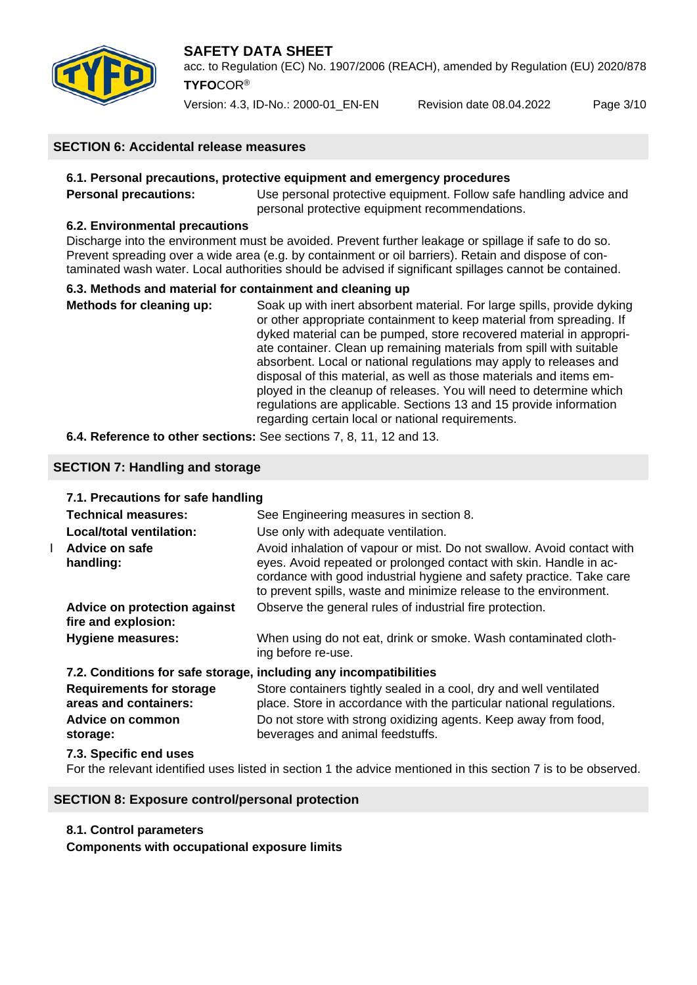

acc. to Regulation (EC) No. 1907/2006 (REACH), amended by Regulation (EU) 2020/878 **TYFO**COR®

Version: 4.3, ID-No.: 2000-01\_EN-EN Revision date 08.04.2022 Page 3/10

## **SECTION 6: Accidental release measures**

#### **6.1. Personal precautions, protective equipment and emergency procedures**

**Personal precautions:** Use personal protective equipment. Follow safe handling advice and personal protective equipment recommendations.

## **6.2. Environmental precautions**

Discharge into the environment must be avoided. Prevent further leakage or spillage if safe to do so. Prevent spreading over a wide area (e.g. by containment or oil barriers). Retain and dispose of contaminated wash water. Local authorities should be advised if significant spillages cannot be contained.

## **6.3. Methods and material for containment and cleaning up**

**Methods for cleaning up:** Soak up with inert absorbent material. For large spills, provide dyking or other appropriate containment to keep material from spreading. If dyked material can be pumped, store recovered material in appropriate container. Clean up remaining materials from spill with suitable absorbent. Local or national regulations may apply to releases and disposal of this material, as well as those materials and items employed in the cleanup of releases. You will need to determine which regulations are applicable. Sections 13 and 15 provide information regarding certain local or national requirements.

## **6.4. Reference to other sections:** See sections 7, 8, 11, 12 and 13.

## **SECTION 7: Handling and storage**

|   | 7.1. Precautions for safe handling                                |                                                                                                                                                                                                                                                                                           |  |  |  |  |
|---|-------------------------------------------------------------------|-------------------------------------------------------------------------------------------------------------------------------------------------------------------------------------------------------------------------------------------------------------------------------------------|--|--|--|--|
|   | Technical measures:                                               | See Engineering measures in section 8.                                                                                                                                                                                                                                                    |  |  |  |  |
|   | Local/total ventilation:                                          | Use only with adequate ventilation.                                                                                                                                                                                                                                                       |  |  |  |  |
| L | Advice on safe<br>handling:                                       | Avoid inhalation of vapour or mist. Do not swallow. Avoid contact with<br>eyes. Avoid repeated or prolonged contact with skin. Handle in ac-<br>cordance with good industrial hygiene and safety practice. Take care<br>to prevent spills, waste and minimize release to the environment. |  |  |  |  |
|   | Advice on protection against<br>fire and explosion:               | Observe the general rules of industrial fire protection.                                                                                                                                                                                                                                  |  |  |  |  |
|   | <b>Hygiene measures:</b>                                          | When using do not eat, drink or smoke. Wash contaminated cloth-<br>ing before re-use.                                                                                                                                                                                                     |  |  |  |  |
|   | 7.2. Conditions for safe storage, including any incompatibilities |                                                                                                                                                                                                                                                                                           |  |  |  |  |
|   | <b>Requirements for storage</b><br>areas and containers:          | Store containers tightly sealed in a cool, dry and well ventilated<br>place. Store in accordance with the particular national regulations.                                                                                                                                                |  |  |  |  |
|   | Advice on common<br>storage:                                      | Do not store with strong oxidizing agents. Keep away from food,<br>beverages and animal feedstuffs.                                                                                                                                                                                       |  |  |  |  |
|   | 7.3. Specific end uses                                            |                                                                                                                                                                                                                                                                                           |  |  |  |  |
|   |                                                                   |                                                                                                                                                                                                                                                                                           |  |  |  |  |

For the relevant identified uses listed in section 1 the advice mentioned in this section 7 is to be observed.

#### **SECTION 8: Exposure control/personal protection**

#### **8.1. Control parameters**

**Components with occupational exposure limits**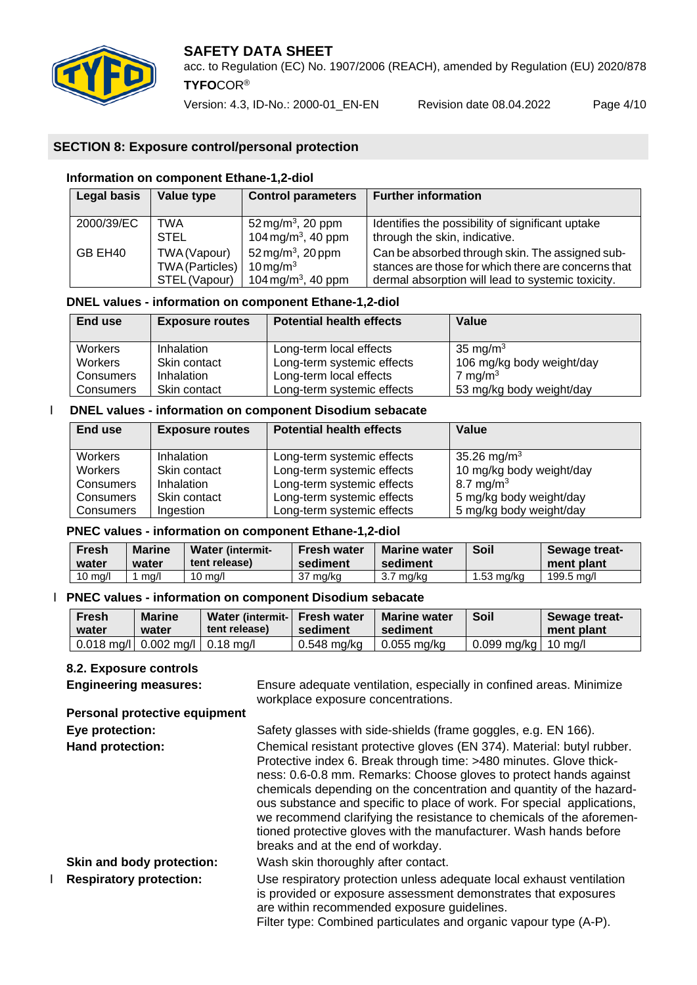

acc. to Regulation (EC) No. 1907/2006 (REACH), amended by Regulation (EU) 2020/878 **TYFO**COR®

Version: 4.3, ID-No.: 2000-01\_EN-EN Revision date 08.04.2022 Page 4/10

## **SECTION 8: Exposure control/personal protection**

## **Information on component Ethane-1,2-diol**

| Legal basis | Value type             | <b>Control parameters</b>      | <b>Further information</b>                          |
|-------------|------------------------|--------------------------------|-----------------------------------------------------|
| 2000/39/EC  | TWA                    | 52 mg/m <sup>3</sup> , 20 ppm  | Identifies the possibility of significant uptake    |
|             | <b>STEL</b>            | 104 mg/m <sup>3</sup> , 40 ppm | through the skin, indicative.                       |
| GB EH40     | TWA (Vapour)           | 52 mg/m <sup>3</sup> , 20 ppm  | Can be absorbed through skin. The assigned sub-     |
|             | <b>TWA (Particles)</b> | $10 \,\mathrm{mg/m^3}$         | stances are those for which there are concerns that |
|             | STEL (Vapour)          | 104 mg/m <sup>3</sup> , 40 ppm | dermal absorption will lead to systemic toxicity.   |

## **DNEL values - information on component Ethane-1,2-diol**

| End use          | <b>Exposure routes</b> | <b>Potential health effects</b> | Value                     |
|------------------|------------------------|---------------------------------|---------------------------|
| Workers          | Inhalation             | Long-term local effects         | 35 mg/m $3$               |
| <b>Workers</b>   | Skin contact           | Long-term systemic effects      | 106 mg/kg body weight/day |
| <b>Consumers</b> | Inhalation             | Long-term local effects         | 7 mg/m $3$                |
| Consumers        | Skin contact           | Long-term systemic effects      | 53 mg/kg body weight/day  |

#### Ӏ **DNEL values - information on component Disodium sebacate**

| End use          | <b>Exposure routes</b> | <b>Potential health effects</b> | Value                    |
|------------------|------------------------|---------------------------------|--------------------------|
| <b>Workers</b>   | Inhalation             | Long-term systemic effects      | 35.26 mg/m <sup>3</sup>  |
| <b>Workers</b>   | Skin contact           | Long-term systemic effects      | 10 mg/kg body weight/day |
| <b>Consumers</b> | Inhalation             | Long-term systemic effects      | 8.7 mg/m <sup>3</sup>    |
| <b>Consumers</b> | Skin contact           | Long-term systemic effects      | 5 mg/kg body weight/day  |
| <b>Consumers</b> | Ingestion              | Long-term systemic effects      | 5 mg/kg body weight/day  |

#### **PNEC values - information on component Ethane-1,2-diol**

| Fresh<br>water    | <b>Marine</b><br>water | <b>Water (intermit-</b><br>tent release) | <b>Fresh water</b><br>sediment | <b>Marine water</b><br>sediment | Soil       | <b>Sewage treat-</b><br>ment plant |
|-------------------|------------------------|------------------------------------------|--------------------------------|---------------------------------|------------|------------------------------------|
| $10 \text{ ma/l}$ | ma/l                   | $10 \text{ ma/l}$                        | 37 ma/ka                       | 3.7 mg/kg                       | 1.53 ma/ka | 199.5 ma/l                         |

#### Ӏ **PNEC values - information on component Disodium sebacate**

| <b>Fresh</b><br>water | <b>Marine</b><br>water                            | Water (intermit- Fresh water<br>tent release) | sediment      | <b>Marine water</b><br>sediment | Soil                  | Sewage treat-<br>ment plant |
|-----------------------|---------------------------------------------------|-----------------------------------------------|---------------|---------------------------------|-----------------------|-----------------------------|
|                       | $0.018$ mg/l $\vert$ 0.002 mg/l $\vert$ 0.18 mg/l |                                               | $0.548$ mg/kg | 0.055 ma/ka                     | 0.099 mg/kg   10 mg/l |                             |

#### **8.2. Exposure controls**

| <b>O.Z. EXPOSURE CONTIGIS</b>        |                                                                                                                                                                                                                                                                                                                                                                                                                                                                                                                                                       |
|--------------------------------------|-------------------------------------------------------------------------------------------------------------------------------------------------------------------------------------------------------------------------------------------------------------------------------------------------------------------------------------------------------------------------------------------------------------------------------------------------------------------------------------------------------------------------------------------------------|
| <b>Engineering measures:</b>         | Ensure adequate ventilation, especially in confined areas. Minimize<br>workplace exposure concentrations.                                                                                                                                                                                                                                                                                                                                                                                                                                             |
| <b>Personal protective equipment</b> |                                                                                                                                                                                                                                                                                                                                                                                                                                                                                                                                                       |
| Eye protection:                      | Safety glasses with side-shields (frame goggles, e.g. EN 166).                                                                                                                                                                                                                                                                                                                                                                                                                                                                                        |
| Hand protection:                     | Chemical resistant protective gloves (EN 374). Material: butyl rubber.<br>Protective index 6. Break through time: >480 minutes. Glove thick-<br>ness: 0.6-0.8 mm. Remarks: Choose gloves to protect hands against<br>chemicals depending on the concentration and quantity of the hazard-<br>ous substance and specific to place of work. For special applications,<br>we recommend clarifying the resistance to chemicals of the aforemen-<br>tioned protective gloves with the manufacturer. Wash hands before<br>breaks and at the end of workday. |
| Skin and body protection:            | Wash skin thoroughly after contact.                                                                                                                                                                                                                                                                                                                                                                                                                                                                                                                   |
| <b>Respiratory protection:</b>       | Use respiratory protection unless adequate local exhaust ventilation<br>is provided or exposure assessment demonstrates that exposures<br>are within recommended exposure guidelines.<br>Filter type: Combined particulates and organic vapour type (A-P).                                                                                                                                                                                                                                                                                            |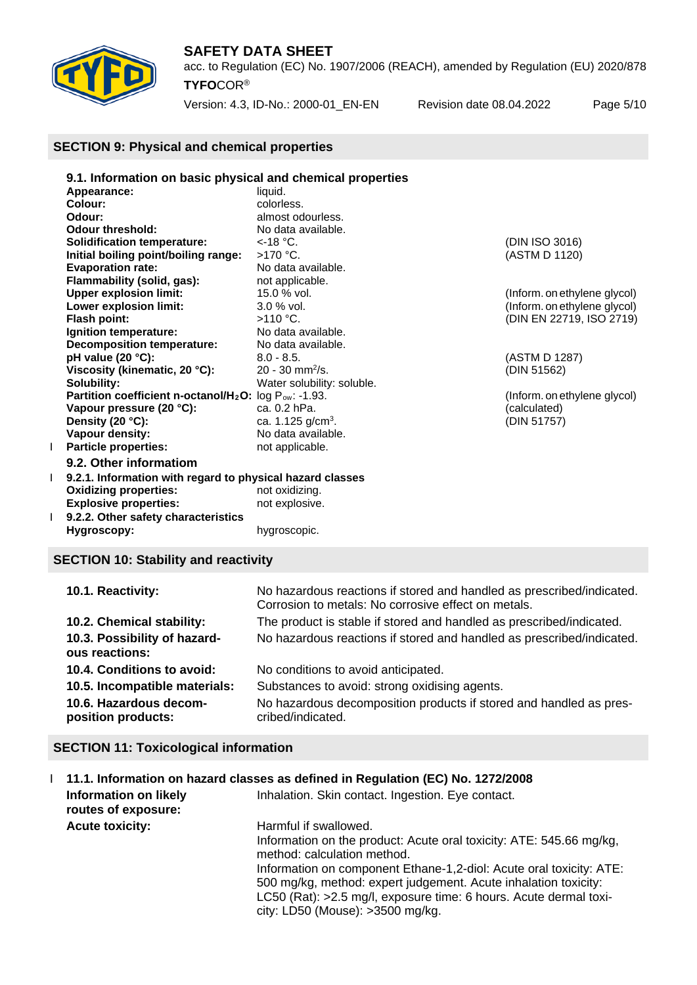

acc. to Regulation (EC) No. 1907/2006 (REACH), amended by Regulation (EU) 2020/878 **TYFO**COR®

Version: 4.3, ID-No.: 2000-01\_EN-EN Revision date 08.04.2022 Page 5/10

## **SECTION 9: Physical and chemical properties**

|   | 9.1. Information on basic physical and chemical properties                     |                               |                              |  |  |  |  |
|---|--------------------------------------------------------------------------------|-------------------------------|------------------------------|--|--|--|--|
|   | Appearance:                                                                    | liquid.                       |                              |  |  |  |  |
|   | Colour:                                                                        | colorless.                    |                              |  |  |  |  |
|   | Odour:                                                                         | almost odourless.             |                              |  |  |  |  |
|   | <b>Odour threshold:</b>                                                        | No data available.            |                              |  |  |  |  |
|   | <b>Solidification temperature:</b>                                             | $<$ -18 °C.                   | (DIN ISO 3016)               |  |  |  |  |
|   | Initial boiling point/boiling range:                                           | $>170$ °C.                    | (ASTM D 1120)                |  |  |  |  |
|   | <b>Evaporation rate:</b>                                                       | No data available.            |                              |  |  |  |  |
|   | Flammability (solid, gas):                                                     | not applicable.               |                              |  |  |  |  |
|   | <b>Upper explosion limit:</b>                                                  | 15.0 % vol.                   | (Inform. on ethylene glycol) |  |  |  |  |
|   | Lower explosion limit:                                                         | $3.0 %$ vol.                  | (Inform. on ethylene glycol) |  |  |  |  |
|   | Flash point:                                                                   | $>110$ °C.                    | (DIN EN 22719, ISO 2719)     |  |  |  |  |
|   | Ignition temperature:                                                          | No data available.            |                              |  |  |  |  |
|   | <b>Decomposition temperature:</b>                                              | No data available.            |                              |  |  |  |  |
|   | pH value (20 °C):                                                              | $8.0 - 8.5.$                  | (ASTM D 1287)                |  |  |  |  |
|   | Viscosity (kinematic, 20 °C):                                                  | $20 - 30$ mm <sup>2</sup> /s. | (DIN 51562)                  |  |  |  |  |
|   | Solubility:                                                                    | Water solubility: soluble.    |                              |  |  |  |  |
|   | Partition coefficient n-octanol/H <sub>2</sub> O: log P <sub>ow</sub> : -1.93. |                               | (Inform. on ethylene glycol) |  |  |  |  |
|   | Vapour pressure (20 °C):                                                       | ca. 0.2 hPa.                  | (calculated)                 |  |  |  |  |
|   | Density (20 °C):                                                               | ca. 1.125 $g/cm3$ .           | (DIN 51757)                  |  |  |  |  |
|   | Vapour density:                                                                | No data available.            |                              |  |  |  |  |
| L | <b>Particle properties:</b>                                                    | not applicable.               |                              |  |  |  |  |
|   | 9.2. Other informatiom                                                         |                               |                              |  |  |  |  |
|   | 9.2.1. Information with regard to physical hazard classes                      |                               |                              |  |  |  |  |
|   | <b>Oxidizing properties:</b>                                                   | not oxidizing.                |                              |  |  |  |  |
|   | <b>Explosive properties:</b>                                                   | not explosive.                |                              |  |  |  |  |
|   | 9.2.2. Other safety characteristics                                            |                               |                              |  |  |  |  |
|   | Hygroscopy:                                                                    | hygroscopic.                  |                              |  |  |  |  |
|   |                                                                                |                               |                              |  |  |  |  |

## **SECTION 10: Stability and reactivity**

| 10.1. Reactivity:                              | No hazardous reactions if stored and handled as prescribed/indicated.<br>Corrosion to metals: No corrosive effect on metals. |
|------------------------------------------------|------------------------------------------------------------------------------------------------------------------------------|
| 10.2. Chemical stability:                      | The product is stable if stored and handled as prescribed/indicated.                                                         |
| 10.3. Possibility of hazard-<br>ous reactions: | No hazardous reactions if stored and handled as prescribed/indicated.                                                        |
| 10.4. Conditions to avoid:                     | No conditions to avoid anticipated.                                                                                          |
| 10.5. Incompatible materials:                  | Substances to avoid: strong oxidising agents.                                                                                |
| 10.6. Hazardous decom-<br>position products:   | No hazardous decomposition products if stored and handled as pres-<br>cribed/indicated.                                      |

## **SECTION 11: Toxicological information**

|                                                     | 1 11.1. Information on hazard classes as defined in Regulation (EC) No. 1272/2008                                                                                                                                                                                                                                                                                              |
|-----------------------------------------------------|--------------------------------------------------------------------------------------------------------------------------------------------------------------------------------------------------------------------------------------------------------------------------------------------------------------------------------------------------------------------------------|
| <b>Information on likely</b><br>routes of exposure: | Inhalation. Skin contact. Ingestion. Eye contact.                                                                                                                                                                                                                                                                                                                              |
| <b>Acute toxicity:</b>                              | Harmful if swallowed.<br>Information on the product: Acute oral toxicity: ATE: 545.66 mg/kg,<br>method: calculation method.<br>Information on component Ethane-1,2-diol: Acute oral toxicity: ATE:<br>500 mg/kg, method: expert judgement. Acute inhalation toxicity:<br>LC50 (Rat): >2.5 mg/l, exposure time: 6 hours. Acute dermal toxi-<br>city: LD50 (Mouse): >3500 mg/kg. |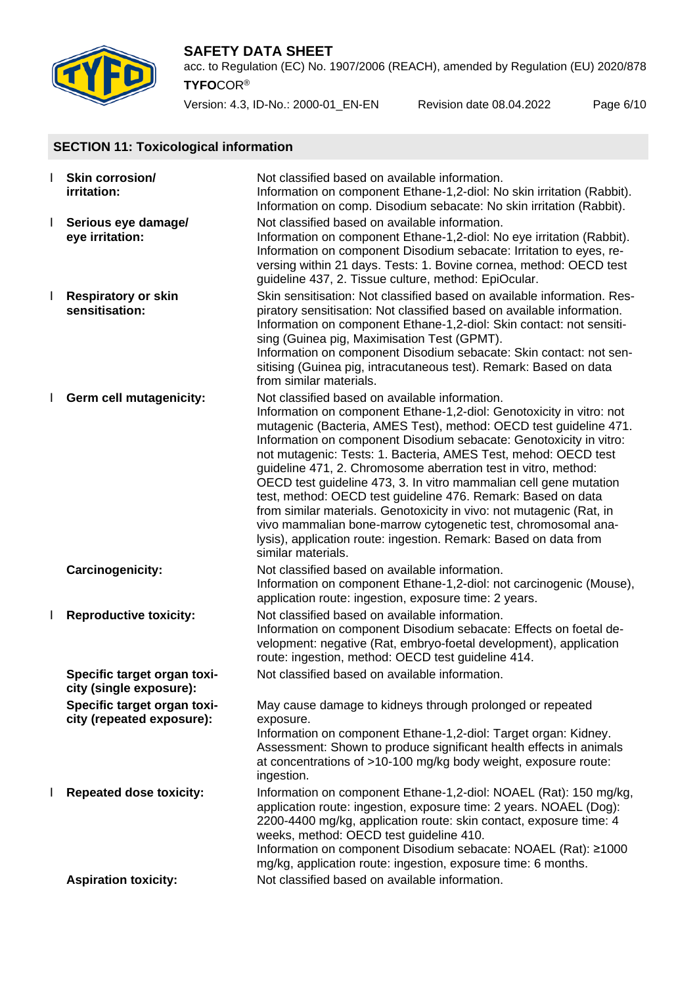

acc. to Regulation (EC) No. 1907/2006 (REACH), amended by Regulation (EU) 2020/878 **TYFO**COR®

Version: 4.3, ID-No.: 2000-01\_EN-EN Revision date 08.04.2022 Page 6/10

## **SECTION 11: Toxicological information**

|              | Skin corrosion/<br><i>irritation:</i>                    | Not classified based on available information.<br>Information on component Ethane-1,2-diol: No skin irritation (Rabbit).<br>Information on comp. Disodium sebacate: No skin irritation (Rabbit).                                                                                                                                                                                                                                                                                                                                                                                                                                                                                                                                                                              |
|--------------|----------------------------------------------------------|-------------------------------------------------------------------------------------------------------------------------------------------------------------------------------------------------------------------------------------------------------------------------------------------------------------------------------------------------------------------------------------------------------------------------------------------------------------------------------------------------------------------------------------------------------------------------------------------------------------------------------------------------------------------------------------------------------------------------------------------------------------------------------|
| $\mathbf{I}$ | Serious eye damage/<br>eye irritation:                   | Not classified based on available information.<br>Information on component Ethane-1,2-diol: No eye irritation (Rabbit).<br>Information on component Disodium sebacate: Irritation to eyes, re-<br>versing within 21 days. Tests: 1. Bovine cornea, method: OECD test<br>guideline 437, 2. Tissue culture, method: EpiOcular.                                                                                                                                                                                                                                                                                                                                                                                                                                                  |
| $\mathbf{I}$ | <b>Respiratory or skin</b><br>sensitisation:             | Skin sensitisation: Not classified based on available information. Res-<br>piratory sensitisation: Not classified based on available information.<br>Information on component Ethane-1,2-diol: Skin contact: not sensiti-<br>sing (Guinea pig, Maximisation Test (GPMT).<br>Information on component Disodium sebacate: Skin contact: not sen-<br>sitising (Guinea pig, intracutaneous test). Remark: Based on data<br>from similar materials.                                                                                                                                                                                                                                                                                                                                |
|              | Germ cell mutagenicity:                                  | Not classified based on available information.<br>Information on component Ethane-1,2-diol: Genotoxicity in vitro: not<br>mutagenic (Bacteria, AMES Test), method: OECD test guideline 471.<br>Information on component Disodium sebacate: Genotoxicity in vitro:<br>not mutagenic: Tests: 1. Bacteria, AMES Test, mehod: OECD test<br>guideline 471, 2. Chromosome aberration test in vitro, method:<br>OECD test guideline 473, 3. In vitro mammalian cell gene mutation<br>test, method: OECD test guideline 476. Remark: Based on data<br>from similar materials. Genotoxicity in vivo: not mutagenic (Rat, in<br>vivo mammalian bone-marrow cytogenetic test, chromosomal ana-<br>lysis), application route: ingestion. Remark: Based on data from<br>similar materials. |
|              | Carcinogenicity:                                         | Not classified based on available information.<br>Information on component Ethane-1,2-diol: not carcinogenic (Mouse),<br>application route: ingestion, exposure time: 2 years.                                                                                                                                                                                                                                                                                                                                                                                                                                                                                                                                                                                                |
| L            | <b>Reproductive toxicity:</b>                            | Not classified based on available information.<br>Information on component Disodium sebacate: Effects on foetal de-<br>velopment: negative (Rat, embryo-foetal development), application<br>route: ingestion, method: OECD test guideline 414.                                                                                                                                                                                                                                                                                                                                                                                                                                                                                                                                |
|              | Specific target organ toxi-<br>city (single exposure):   | Not classified based on available information.                                                                                                                                                                                                                                                                                                                                                                                                                                                                                                                                                                                                                                                                                                                                |
|              | Specific target organ toxi-<br>city (repeated exposure): | May cause damage to kidneys through prolonged or repeated<br>exposure.<br>Information on component Ethane-1,2-diol: Target organ: Kidney.<br>Assessment: Shown to produce significant health effects in animals<br>at concentrations of >10-100 mg/kg body weight, exposure route:<br>ingestion.                                                                                                                                                                                                                                                                                                                                                                                                                                                                              |
| L            | <b>Repeated dose toxicity:</b>                           | Information on component Ethane-1,2-diol: NOAEL (Rat): 150 mg/kg,<br>application route: ingestion, exposure time: 2 years. NOAEL (Dog):<br>2200-4400 mg/kg, application route: skin contact, exposure time: 4<br>weeks, method: OECD test guideline 410.<br>Information on component Disodium sebacate: NOAEL (Rat): ≥1000<br>mg/kg, application route: ingestion, exposure time: 6 months.                                                                                                                                                                                                                                                                                                                                                                                   |
|              | <b>Aspiration toxicity:</b>                              | Not classified based on available information.                                                                                                                                                                                                                                                                                                                                                                                                                                                                                                                                                                                                                                                                                                                                |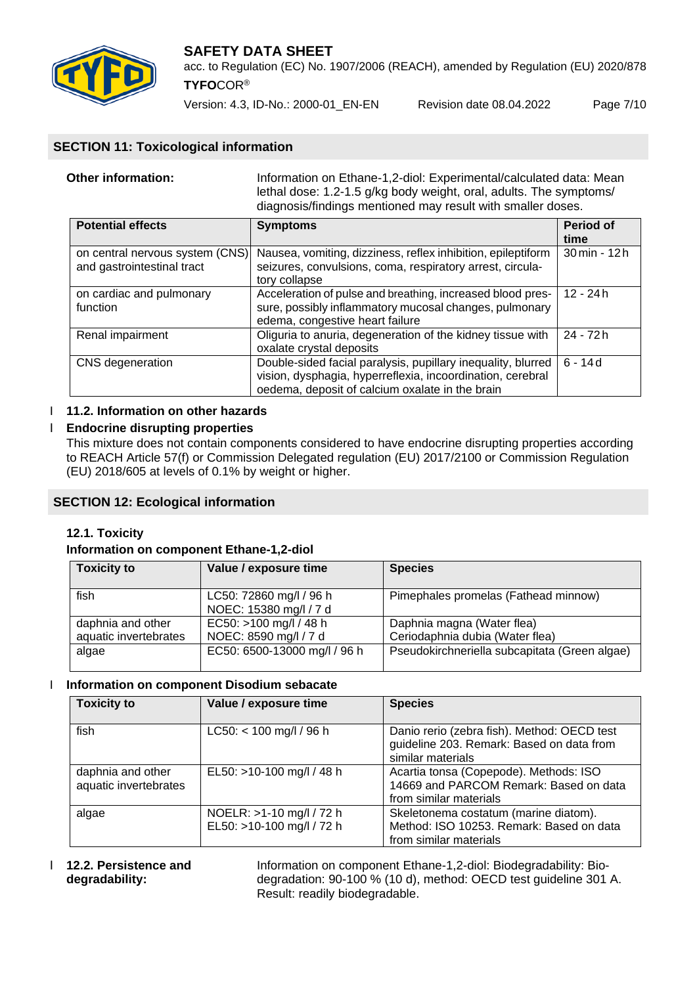

acc. to Regulation (EC) No. 1907/2006 (REACH), amended by Regulation (EU) 2020/878 **TYFO**COR®

Version: 4.3, ID-No.: 2000-01\_EN-EN Revision date 08.04.2022 Page 7/10

## **SECTION 11: Toxicological information**

| Other information: | Information on Ethane-1,2-diol: Experimental/calculated data: Mean<br>lethal dose: 1.2-1.5 g/kg body weight, oral, adults. The symptoms/<br>diagnosis/findings mentioned may result with smaller doses. |
|--------------------|---------------------------------------------------------------------------------------------------------------------------------------------------------------------------------------------------------|
|                    |                                                                                                                                                                                                         |

| <b>Potential effects</b>                                      | <b>Symptoms</b>                                                                                                                                                               | Period of<br>time |
|---------------------------------------------------------------|-------------------------------------------------------------------------------------------------------------------------------------------------------------------------------|-------------------|
| on central nervous system (CNS)<br>and gastrointestinal tract | Nausea, vomiting, dizziness, reflex inhibition, epileptiform<br>seizures, convulsions, coma, respiratory arrest, circula-<br>tory collapse                                    |                   |
| on cardiac and pulmonary<br>function                          | Acceleration of pulse and breathing, increased blood pres-<br>sure, possibly inflammatory mucosal changes, pulmonary<br>edema, congestive heart failure                       | $12 - 24h$        |
| Renal impairment                                              | Oliguria to anuria, degeneration of the kidney tissue with<br>oxalate crystal deposits                                                                                        | 24 - 72 h         |
| CNS degeneration                                              | Double-sided facial paralysis, pupillary inequality, blurred<br>vision, dysphagia, hyperreflexia, incoordination, cerebral<br>oedema, deposit of calcium oxalate in the brain | $6 - 14d$         |

## I **11.2. Information on other hazards**

## Ӏ **Endocrine disrupting properties**

This mixture does not contain components considered to have endocrine disrupting properties according to REACH Article 57(f) or Commission Delegated regulation (EU) 2017/2100 or Commission Regulation (EU) 2018/605 at levels of 0.1% by weight or higher.

## **SECTION 12: Ecological information**

## **12.1. Toxicity**

#### **Information on component Ethane-1,2-diol**

| <b>Toxicity to</b>                         | Value / exposure time                             | <b>Species</b>                                                |
|--------------------------------------------|---------------------------------------------------|---------------------------------------------------------------|
| fish                                       | LC50: 72860 mg/l / 96 h<br>NOEC: 15380 mg/l / 7 d | Pimephales promelas (Fathead minnow)                          |
| daphnia and other<br>aquatic invertebrates | EC50: >100 mg/l / 48 h<br>NOEC: 8590 mg/l / 7 d   | Daphnia magna (Water flea)<br>Ceriodaphnia dubia (Water flea) |
| algae                                      | EC50: 6500-13000 mg/l / 96 h                      | Pseudokirchneriella subcapitata (Green algae)                 |

#### Ӏ **Information on component Disodium sebacate**

| <b>Toxicity to</b>                         | Value / exposure time                                 | <b>Species</b>                                                                                                |
|--------------------------------------------|-------------------------------------------------------|---------------------------------------------------------------------------------------------------------------|
| fish                                       | $LC50: < 100$ mg/l / 96 h                             | Danio rerio (zebra fish). Method: OECD test<br>guideline 203. Remark: Based on data from<br>similar materials |
| daphnia and other<br>aquatic invertebrates | EL50: >10-100 mg/l / 48 h                             | Acartia tonsa (Copepode). Methods: ISO<br>14669 and PARCOM Remark: Based on data<br>from similar materials    |
| algae                                      | NOELR: >1-10 mg/l / 72 h<br>EL50: >10-100 mg/l / 72 h | Skeletonema costatum (marine diatom).<br>Method: ISO 10253. Remark: Based on data<br>from similar materials   |

**12.2. Persistence and** Information on component Ethane-1,2-diol: Biodegradability: Bio-<br>degradation: 90-100 % (10 d), method: OECD test guideline 301 degradation: 90-100 % (10 d), method: OECD test quideline 301 A. Result: readily biodegradable.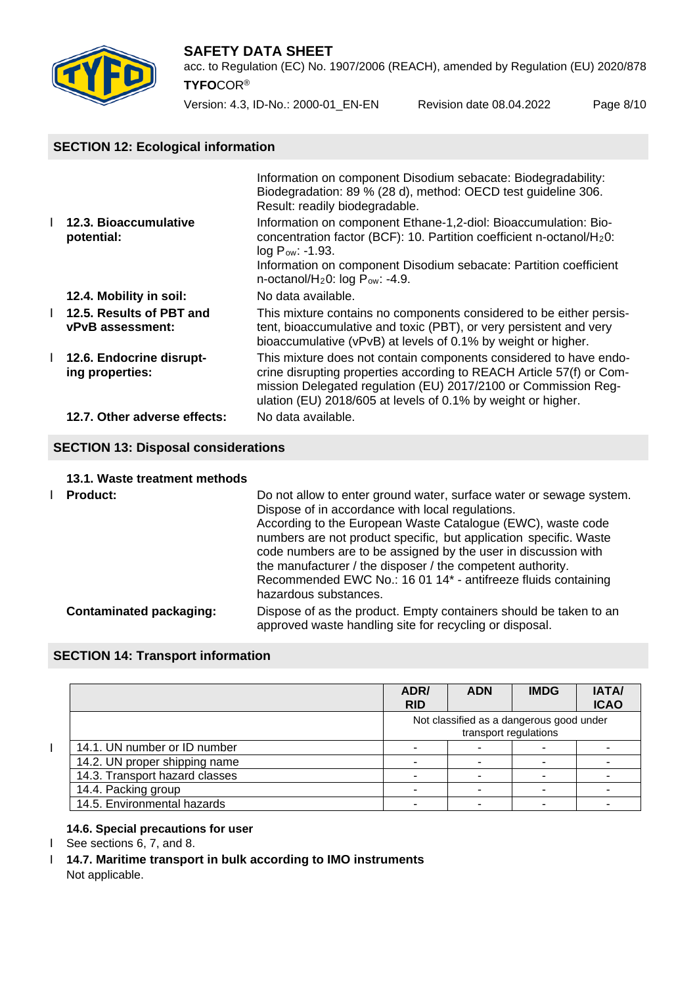

acc. to Regulation (EC) No. 1907/2006 (REACH), amended by Regulation (EU) 2020/878 **TYFO**COR®

Version: 4.3, ID-No.: 2000-01\_EN-EN Revision date 08.04.2022 Page 8/10

## **SECTION 12: Ecological information**

|                                                     | Information on component Disodium sebacate: Biodegradability:<br>Biodegradation: 89 % (28 d), method: OECD test guideline 306.<br>Result: readily biodegradable.                                                                                                                              |  |
|-----------------------------------------------------|-----------------------------------------------------------------------------------------------------------------------------------------------------------------------------------------------------------------------------------------------------------------------------------------------|--|
| 12.3. Bioaccumulative<br>potential:                 | Information on component Ethane-1,2-diol: Bioaccumulation: Bio-<br>concentration factor (BCF): 10. Partition coefficient n-octanol/H <sub>2</sub> 0:<br>$log P_{ow}: -1.93.$<br>Information on component Disodium sebacate: Partition coefficient<br>n-octanol/ $H_20$ : log $P_{ow}$ : -4.9. |  |
| 12.4. Mobility in soil:                             | No data available.                                                                                                                                                                                                                                                                            |  |
| 12.5. Results of PBT and<br><b>vPvB</b> assessment: | This mixture contains no components considered to be either persis-<br>tent, bioaccumulative and toxic (PBT), or very persistent and very<br>bioaccumulative (vPvB) at levels of 0.1% by weight or higher.                                                                                    |  |
| 12.6. Endocrine disrupt-<br>ing properties:         | This mixture does not contain components considered to have endo-<br>crine disrupting properties according to REACH Article 57(f) or Com-<br>mission Delegated regulation (EU) 2017/2100 or Commission Reg-<br>ulation (EU) 2018/605 at levels of 0.1% by weight or higher.                   |  |
| 12.7. Other adverse effects:                        | No data available.                                                                                                                                                                                                                                                                            |  |
| <b>SECTION 13: Disposal considerations</b>          |                                                                                                                                                                                                                                                                                               |  |

#### **13.1. Waste treatment methods**

| <b>Product:</b>                | Do not allow to enter ground water, surface water or sewage system.<br>Dispose of in accordance with local regulations.<br>According to the European Waste Catalogue (EWC), waste code<br>numbers are not product specific, but application specific. Waste<br>code numbers are to be assigned by the user in discussion with<br>the manufacturer / the disposer / the competent authority.<br>Recommended EWC No.: 16 01 14* - antifreeze fluids containing<br>hazardous substances. |
|--------------------------------|---------------------------------------------------------------------------------------------------------------------------------------------------------------------------------------------------------------------------------------------------------------------------------------------------------------------------------------------------------------------------------------------------------------------------------------------------------------------------------------|
| <b>Contaminated packaging:</b> | Dispose of as the product. Empty containers should be taken to an<br>approved waste handling site for recycling or disposal.                                                                                                                                                                                                                                                                                                                                                          |

## **SECTION 14: Transport information**

|                                | ADR/<br><b>RID</b> | <b>ADN</b>                                                        | <b>IMDG</b> | <b>IATA/</b><br><b>ICAO</b> |
|--------------------------------|--------------------|-------------------------------------------------------------------|-------------|-----------------------------|
|                                |                    | Not classified as a dangerous good under<br>transport regulations |             |                             |
| 14.1. UN number or ID number   |                    |                                                                   |             |                             |
| 14.2. UN proper shipping name  |                    |                                                                   |             |                             |
| 14.3. Transport hazard classes |                    |                                                                   |             |                             |
| 14.4. Packing group            |                    |                                                                   |             |                             |
| 14.5. Environmental hazards    |                    |                                                                   |             |                             |

## **14.6. Special precautions for user**

I See sections 6, 7, and 8.

Ӏ **14.7. Maritime transport in bulk according to IMO instruments** Not applicable.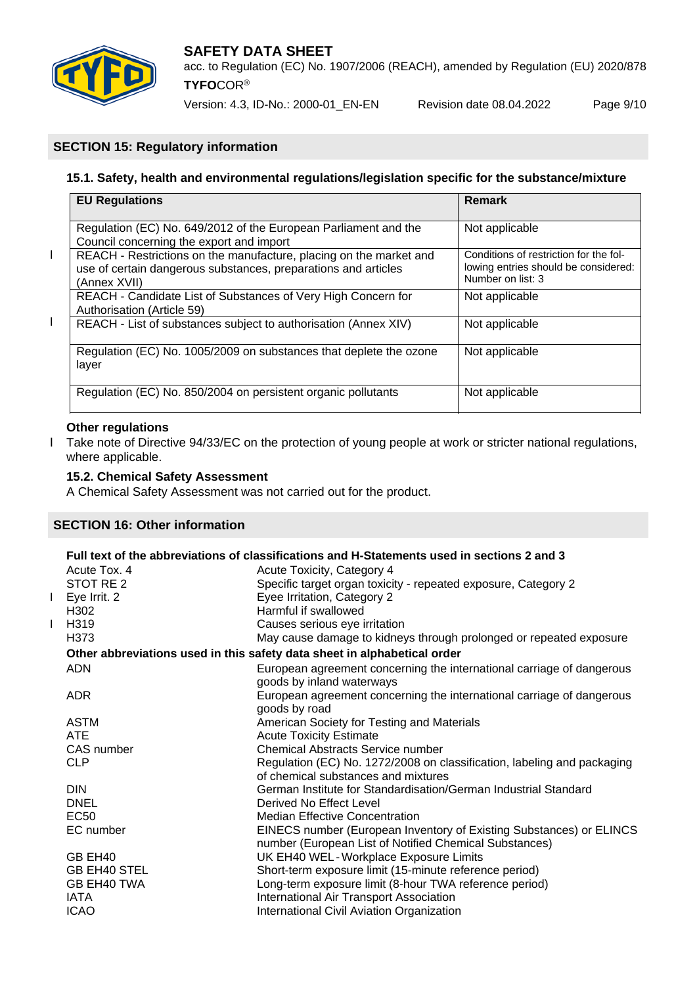

Version: 4.3, ID-No.: 2000-01\_EN-EN Revision date 08.04.2022 Page 9/10

## **SECTION 15: Regulatory information**

## **15.1. Safety, health and environmental regulations/legislation specific for the substance/mixture**

|   | <b>EU Regulations</b>                                                                                                                                | Remark                                                                                              |
|---|------------------------------------------------------------------------------------------------------------------------------------------------------|-----------------------------------------------------------------------------------------------------|
|   | Regulation (EC) No. 649/2012 of the European Parliament and the<br>Council concerning the export and import                                          | Not applicable                                                                                      |
| L | REACH - Restrictions on the manufacture, placing on the market and<br>use of certain dangerous substances, preparations and articles<br>(Annex XVII) | Conditions of restriction for the fol-<br>lowing entries should be considered:<br>Number on list: 3 |
|   | REACH - Candidate List of Substances of Very High Concern for<br>Authorisation (Article 59)                                                          | Not applicable                                                                                      |
| L | REACH - List of substances subject to authorisation (Annex XIV)                                                                                      | Not applicable                                                                                      |
|   | Regulation (EC) No. 1005/2009 on substances that deplete the ozone<br>layer                                                                          | Not applicable                                                                                      |
|   | Regulation (EC) No. 850/2004 on persistent organic pollutants                                                                                        | Not applicable                                                                                      |

#### **Other regulations** ֞

I Take note of Directive 94/33/EC on the protection of young people at work or stricter national regulations, where applicable.

## **15.2. Chemical Safety Assessment**

A Chemical Safety Assessment was not carried out for the product.

## **SECTION 16: Other information**

# **Full text of the abbreviations of classifications and H-Statements used in sections 2 and 3**

|   | Acute Tox. 4        | Acute Toxicity, Category 4                                                                                                    |
|---|---------------------|-------------------------------------------------------------------------------------------------------------------------------|
|   | STOT RE 2           | Specific target organ toxicity - repeated exposure, Category 2                                                                |
| L | Eye Irrit. 2        | Eyee Irritation, Category 2                                                                                                   |
|   | H <sub>302</sub>    | Harmful if swallowed                                                                                                          |
| L | H319                | Causes serious eye irritation                                                                                                 |
|   | H373                | May cause damage to kidneys through prolonged or repeated exposure                                                            |
|   |                     | Other abbreviations used in this safety data sheet in alphabetical order                                                      |
|   | <b>ADN</b>          | European agreement concerning the international carriage of dangerous<br>goods by inland waterways                            |
|   | <b>ADR</b>          | European agreement concerning the international carriage of dangerous<br>goods by road                                        |
|   | <b>ASTM</b>         | American Society for Testing and Materials                                                                                    |
|   | <b>ATE</b>          | <b>Acute Toxicity Estimate</b>                                                                                                |
|   | CAS number          | <b>Chemical Abstracts Service number</b>                                                                                      |
|   | <b>CLP</b>          | Regulation (EC) No. 1272/2008 on classification, labeling and packaging                                                       |
|   |                     | of chemical substances and mixtures                                                                                           |
|   | <b>DIN</b>          | German Institute for Standardisation/German Industrial Standard                                                               |
|   | <b>DNEL</b>         | Derived No Effect Level                                                                                                       |
|   | <b>EC50</b>         | <b>Median Effective Concentration</b>                                                                                         |
|   | EC number           | EINECS number (European Inventory of Existing Substances) or ELINCS<br>number (European List of Notified Chemical Substances) |
|   | GB EH40             | UK EH40 WEL - Workplace Exposure Limits                                                                                       |
|   | <b>GB EH40 STEL</b> | Short-term exposure limit (15-minute reference period)                                                                        |
|   | GB EH40 TWA         | Long-term exposure limit (8-hour TWA reference period)                                                                        |
|   | <b>IATA</b>         | <b>International Air Transport Association</b>                                                                                |
|   | <b>ICAO</b>         | International Civil Aviation Organization                                                                                     |
|   |                     |                                                                                                                               |